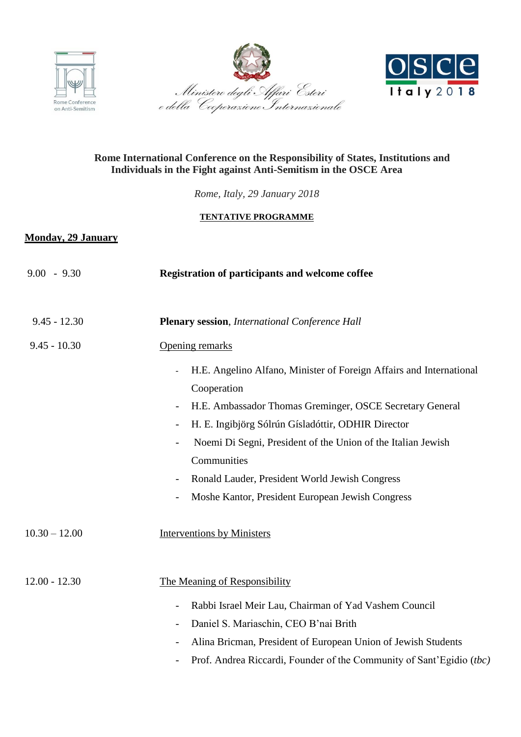





# **Rome International Conference on the Responsibility of States, Institutions and Individuals in the Fight against Anti-Semitism in the OSCE Area**

*Rome, Italy, 29 January 2018*

## **TENTATIVE PROGRAMME**

## **Monday, 29 January**

| $9.00 - 9.30$   | Registration of participants and welcome coffee                                                                                                                                                                                                                                                                                                                                                                                                   |
|-----------------|---------------------------------------------------------------------------------------------------------------------------------------------------------------------------------------------------------------------------------------------------------------------------------------------------------------------------------------------------------------------------------------------------------------------------------------------------|
| $9.45 - 12.30$  | <b>Plenary session</b> , International Conference Hall                                                                                                                                                                                                                                                                                                                                                                                            |
| $9.45 - 10.30$  | Opening remarks                                                                                                                                                                                                                                                                                                                                                                                                                                   |
|                 | H.E. Angelino Alfano, Minister of Foreign Affairs and International<br>Cooperation<br>H.E. Ambassador Thomas Greminger, OSCE Secretary General<br>H. E. Ingibjörg Sólrún Gísladóttir, ODHIR Director<br>Noemi Di Segni, President of the Union of the Italian Jewish<br>$\overline{\phantom{a}}$<br>Communities<br>Ronald Lauder, President World Jewish Congress<br>Moshe Kantor, President European Jewish Congress<br>$\overline{\phantom{a}}$ |
| $10.30 - 12.00$ | <b>Interventions by Ministers</b>                                                                                                                                                                                                                                                                                                                                                                                                                 |
| $12.00 - 12.30$ | The Meaning of Responsibility                                                                                                                                                                                                                                                                                                                                                                                                                     |
|                 | Rabbi Israel Meir Lau, Chairman of Yad Vashem Council<br>$\qquad \qquad -$<br>Daniel S. Mariaschin, CEO B'nai Brith<br>Alina Bricman, President of European Union of Jewish Students                                                                                                                                                                                                                                                              |
|                 | Prof. Andrea Riccardi, Founder of the Community of Sant'Egidio (tbc)                                                                                                                                                                                                                                                                                                                                                                              |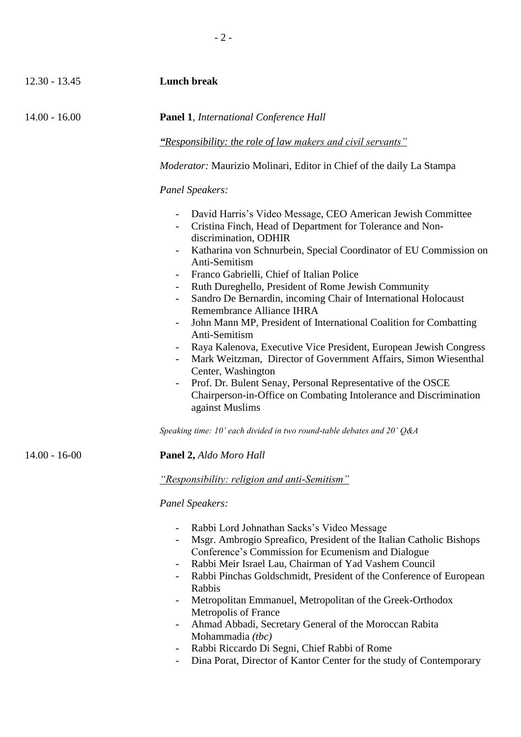| $12.30 - 13.45$   | <b>Lunch break</b>                                                                                                                                                                                                                                                                                                                                                                                                                                                                                                                                                                                                                                                                                                                                                                                                                                                                      |
|-------------------|-----------------------------------------------------------------------------------------------------------------------------------------------------------------------------------------------------------------------------------------------------------------------------------------------------------------------------------------------------------------------------------------------------------------------------------------------------------------------------------------------------------------------------------------------------------------------------------------------------------------------------------------------------------------------------------------------------------------------------------------------------------------------------------------------------------------------------------------------------------------------------------------|
| $14.00 - 16.00$   | <b>Panel 1, International Conference Hall</b>                                                                                                                                                                                                                                                                                                                                                                                                                                                                                                                                                                                                                                                                                                                                                                                                                                           |
|                   | "Responsibility: the role of law makers and civil servants"                                                                                                                                                                                                                                                                                                                                                                                                                                                                                                                                                                                                                                                                                                                                                                                                                             |
|                   | <i>Moderator:</i> Maurizio Molinari, Editor in Chief of the daily La Stampa                                                                                                                                                                                                                                                                                                                                                                                                                                                                                                                                                                                                                                                                                                                                                                                                             |
|                   | <b>Panel Speakers:</b>                                                                                                                                                                                                                                                                                                                                                                                                                                                                                                                                                                                                                                                                                                                                                                                                                                                                  |
|                   | David Harris's Video Message, CEO American Jewish Committee<br>$\overline{\phantom{a}}$<br>Cristina Finch, Head of Department for Tolerance and Non-<br>discrimination, ODHIR<br>Katharina von Schnurbein, Special Coordinator of EU Commission on<br>Ξ.<br>Anti-Semitism<br>Franco Gabrielli, Chief of Italian Police<br>Ruth Dureghello, President of Rome Jewish Community<br>Sandro De Bernardin, incoming Chair of International Holocaust<br>Remembrance Alliance IHRA<br>John Mann MP, President of International Coalition for Combatting<br>Anti-Semitism<br>Raya Kalenova, Executive Vice President, European Jewish Congress<br>Mark Weitzman, Director of Government Affairs, Simon Wiesenthal<br>Center, Washington<br>Prof. Dr. Bulent Senay, Personal Representative of the OSCE<br>Chairperson-in-Office on Combating Intolerance and Discrimination<br>against Muslims |
|                   | Speaking time: $10'$ each divided in two round-table debates and $20' Q\&A$                                                                                                                                                                                                                                                                                                                                                                                                                                                                                                                                                                                                                                                                                                                                                                                                             |
| $14.00 - 16 - 00$ | <b>Panel 2, Aldo Moro Hall</b>                                                                                                                                                                                                                                                                                                                                                                                                                                                                                                                                                                                                                                                                                                                                                                                                                                                          |
|                   | "Responsibility: religion and anti-Semitism"                                                                                                                                                                                                                                                                                                                                                                                                                                                                                                                                                                                                                                                                                                                                                                                                                                            |
|                   | <b>Panel Speakers:</b>                                                                                                                                                                                                                                                                                                                                                                                                                                                                                                                                                                                                                                                                                                                                                                                                                                                                  |
|                   | Rabbi Lord Johnathan Sacks's Video Message<br>Msgr. Ambrogio Spreafico, President of the Italian Catholic Bishops<br>Conference's Commission for Ecumenism and Dialogue<br>Rabbi Meir Israel Lau, Chairman of Yad Vashem Council<br>Rabbi Pinchas Goldschmidt, President of the Conference of European<br>Rabbis<br>Metropolitan Emmanuel, Metropolitan of the Greek-Orthodox<br>Metropolis of France<br>Ahmad Abbadi, Secretary General of the Moroccan Rabita<br>Mohammadia (tbc)<br>Rabbi Riccardo Di Segni, Chief Rabbi of Rome                                                                                                                                                                                                                                                                                                                                                     |

- Dina Porat, Director of Kantor Center for the study of Contemporary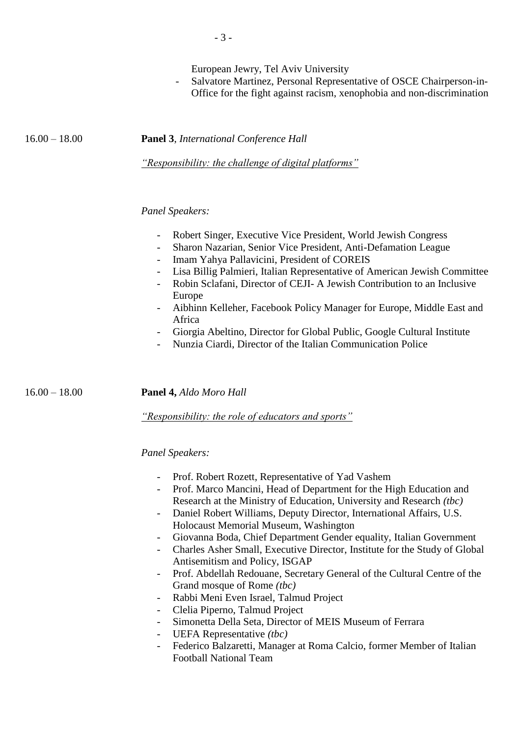Salvatore Martinez, Personal Representative of OSCE Chairperson-in-Office for the fight against racism, xenophobia and non-discrimination

16.00 – 18.00 **Panel 3**, *International Conference Hall*

*"Responsibility: the challenge of digital platforms"*

## *Panel Speakers:*

- Robert Singer, Executive Vice President, World Jewish Congress
- Sharon Nazarian, Senior Vice President, Anti-Defamation League
- Imam Yahya Pallavicini, President of COREIS
- Lisa Billig Palmieri, Italian Representative of American Jewish Committee
- Robin Sclafani, Director of CEJI- A Jewish Contribution to an Inclusive Europe
- Aibhinn Kelleher, Facebook Policy Manager for Europe, Middle East and Africa
- Giorgia Abeltino, Director for Global Public, Google Cultural Institute
- Nunzia Ciardi, Director of the Italian Communication Police

16.00 – 18.00 **Panel 4,** *Aldo Moro Hall*

*"Responsibility: the role of educators and sports"*

#### *Panel Speakers:*

- Prof. Robert Rozett, Representative of Yad Vashem
- Prof. Marco Mancini, Head of Department for the High Education and Research at the Ministry of Education, University and Research *(tbc)*
- Daniel Robert Williams, Deputy Director, International Affairs, U.S. Holocaust Memorial Museum, Washington
- Giovanna Boda, Chief Department Gender equality, Italian Government
- Charles Asher Small, Executive Director, Institute for the Study of Global Antisemitism and Policy, ISGAP
- Prof. Abdellah Redouane, Secretary General of the Cultural Centre of the Grand mosque of Rome *(tbc)*
- Rabbi Meni Even Israel, Talmud Project
- Clelia Piperno, Talmud Project
- Simonetta Della Seta, Director of MEIS Museum of Ferrara
- UEFA Representative *(tbc)*
- Federico Balzaretti, Manager at Roma Calcio, former Member of Italian Football National Team